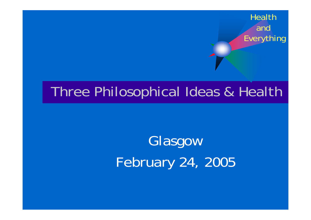#### Three Philosophical Ideas & Health

# Glasgow February 24, 2005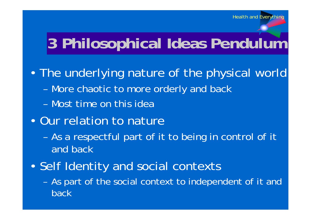# **3 Philosophical Ideas Pendulum**

- The underlying nature of the physical world
	- More chaotic to more orderly and back
	- Most time on this idea
- Our relation to nature
	- As a respectful part of it to being in control of it and back
- Self Identity and social contexts
	- As part of the social context to independent of it and back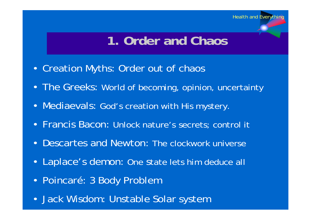#### **1. Order and Chaos**

- Creation Myths: Order out of chaos
- The Greeks: World of becoming, opinion, uncertainty
- Mediaevals: God's creation with His mystery.
- Francis Bacon: Unlock nature's secrets; control it
- Descartes and Newton: The clockwork universe
- Laplace's demon: One state lets him deduce all
- Poincaré: 3 Body Problem
- Jack Wisdom: Unstable Solar system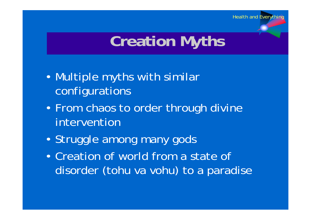# **Creation Myths**

- Multiple myths with similar configurations
- From chaos to order through divine intervention
- Struggle among many gods
- Creation of world from a state of disorder (tohu va vohu) to a paradise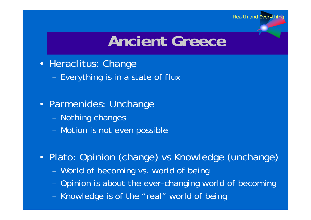# **Ancient Greece**

- Heraclitus: Change
	- Everything is in a state of flux
- Parmenides: Unchange
	- Nothing changes
	- Motion is not even possible
- Plato: Opinion (change) vs Knowledge (unchange)
	- World of becoming vs. world of being
	- Opinion is about the ever-changing world of becoming
	- Knowledge is of the "real" world of being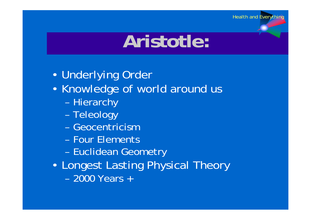# **Aristotle:**

- Underlying Order
- Knowledge of world around us
	- Hierarchy
	- Teleology
	- Geocentricism
	- Four Elements
	- Euclidean Geometry
- Longest Lasting Physical Theory
	- 2000 Years +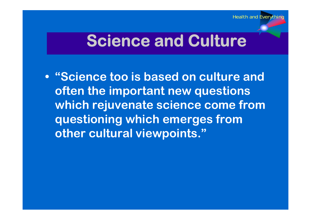### **Science and Culture**

**• "Science too is based on culture and often the important new questions which rejuvenate science come from questioning which emerges from other cultural viewpoints."**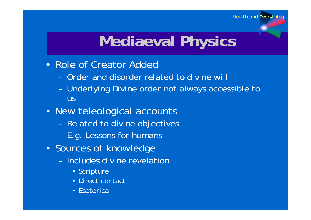# **Mediaeval Physics**

- Role of Creator Added
	- Order and disorder related to divine will
	- Underlying Divine order not always accessible to us
- New teleological accounts
	- Related to divine objectives
	- E.g. Lessons for humans
- Sources of knowledge
	- Includes divine revelation
		- Scripture
		- Direct contact
		- Esoterica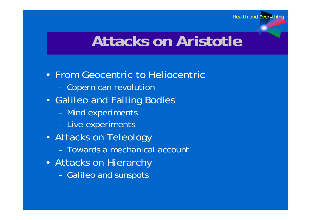### **Attacks on Aristotle**

- From Geocentric to Heliocentric
	- Copernican revolution
- Galileo and Falling Bodies
	- Mind experiments
	- Live experiments
- Attacks on Teleology
	- Towards a mechanical account
- Attacks on Hierarchy
	- Galileo and sunspots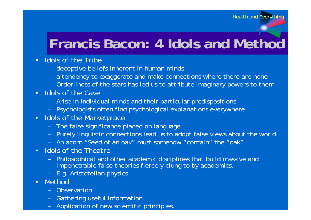#### **Francis Bacon: 4 Idols and Method**

- Idols of the Tribe
	- deceptive beliefs inherent in human minds
	- a tendency to exaggerate and make connections where there are none
	- Orderliness of the stars has led us to attribute imaginary powers to them
- Idols of the Cave
	- Arise in individual minds and their particular predispositions
	- Psychologists often find psychological explanations everywhere
- Idols of the Marketplace
	- The false significance placed on language
	- Purely linguistic connections lead us to adopt false views about the world.
	- An acorn "Seed of an oak" must somehow "contain" the "oak"
- Idols of the Theatre
	- Philosophical and other academic disciplines that build massive and impenetrable false theories fiercely clung to by academics.
	- E.g. Aristotelian physics
- Method
	- Observation
	- Gathering useful information
	- Application of new scientific princi ples.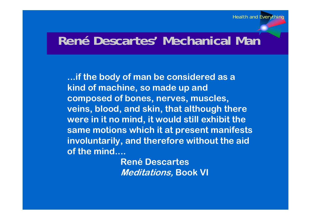#### **René Descartes' Mechanical Man**

**...if the body of man be considered as a kind of machine, so made up and composed of bones, nerves, muscles, veins, blood, and skin, that although there were in it no mind, it would still exhibit the same motions which it at present manifests involuntarily, and therefore without the aid of the mind....** 

> **René Descartes Meditations, Book VI**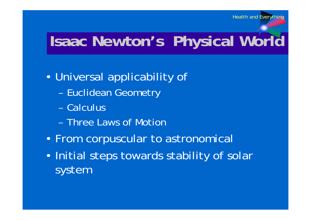# **Isaac Newton's Physical World**

- Universal applicability of
	- Euclidean Geometry
	- Calculus
	- Three Laws of Motion
- From corpuscular to astronomical
- Initial steps towards stability of solar system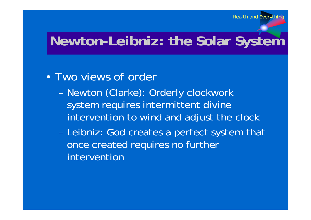#### **Newton-Leibniz: the Solar System**

#### • Two views of order

- Newton (Clarke): Orderly clockwork system requires intermittent divine intervention to wind and adjust the clock
- Leibniz: God creates a perfect system that once created requires no further intervention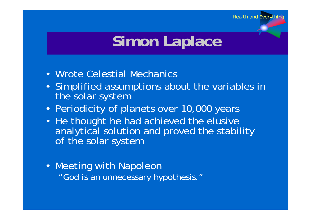# **Simon Laplace**

- Wrote Celestial Mechanics
- Simplified assumptions about the variables in the solar system
- Periodicity of planets over 10,000 years
- He thought he had achieved the elusive analytical solution and proved the stability of the solar system
- Meeting with Napoleon "God is an unnecessary hypothesis."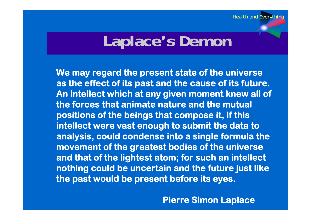#### **Laplace's Demon**

**We may regard the present state of the universe as the effect of its past and the cause of its future. An intellect which at any given moment knew all of the forces that animate nature and the mutual positions of the beings that compose it, if this intellect were vast enough to submit the data to analysis, could condense into a single formula the movement of the greatest bodies of the universe and that of the lightest atom; for such an intellect nothing could be uncertain and the future just like the past would be present before its eyes.**

**Pierre Simon Laplace**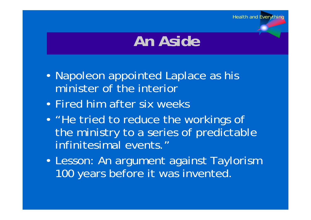### **An Aside**

- Napoleon appointed Laplace as his minister of the interior
- Fired him after six weeks
- "He tried to reduce the workings of the ministry to a series of predictable infinitesimal events."
- Lesson: An argument against Taylorism 100 years before it was invented.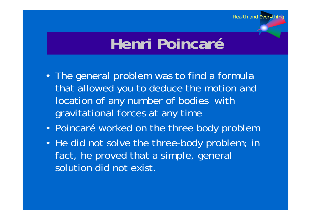# **Henri Poincaré**

- The general problem was to find a formula that allowed you to deduce the motion and location of any number of bodies with gravitational forces at any time
- Poincaré worked on the three body problem
- He did not solve the three-body problem; in fact, he proved that a simple, general solution did not exist.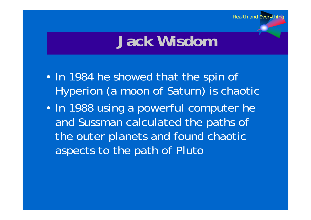# **Jack Wisdom**

- In 1984 he showed that the spin of Hyperion (a moon of Saturn) is chaotic
- In 1988 using a powerful computer he and Sussman calculated the paths of the outer planets and found chaotic aspects to the path of Pluto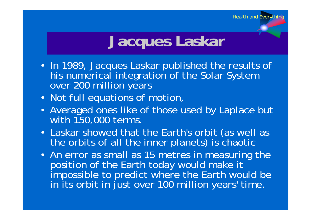# **Jacques Laskar**

- In 1989, Jacques Laskar published the results of his numerical integration of the Solar System over 200 million years
- Not full equations of motion,
- Averaged ones like of those used by Laplace but with 150,000 terms.
- Laskar showed that the Earth's orbit (as well as the orbits of all the inner planets) is chaotic
- An error as small as 15 metres in measuring the position of the Earth today would make it impossible to predict where the Earth would be in its orbit in just over 100 million years' time.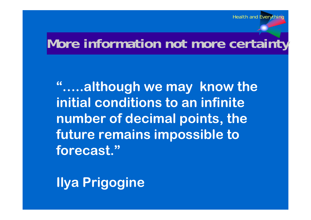#### **More information not more certainty**

**"…..although we may know the initial conditions to an infinite number of decimal points, the future remains impossible to forecast."**

**Ilya Prigogine**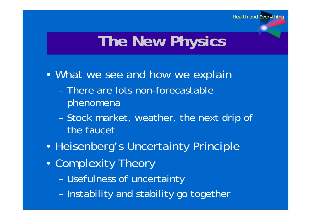# **The New Physics**

- What we see and how we explain
	- There are lots non-forecastable phenomena
	- Stock market, weather, the next drip of the faucet
- Heisenberg's Uncertainty Principle
- Complexity Theory
	- Usefulness of uncertainty
	- Instability and stability go together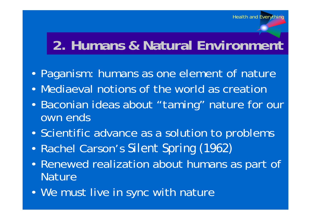#### **2. Humans & Natural Environment**

- Paganism: humans as one element of nature
- Mediaeval notions of the world as creation
- Baconian ideas about "taming" nature for our own ends
- Scientific advance as a solution to problems
- Rachel Carson's *Silent Spring (1962)*
- Renewed realization about humans as part of **Nature**
- We must live in sync with nature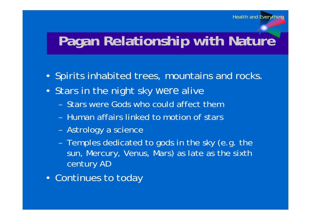#### **Pagan Relationship with Nature**

- Spirits inhabited trees, mountains and rocks.
- Stars in the night sky *were* alive
	- Stars were Gods who could affect them
	- Human affairs linked to motion of stars
	- Astrology a science
	- Temples dedicated to gods in the sky (e.g. the sun, Mercury, Venus, Mars) as late as the sixth century AD
- Continues to today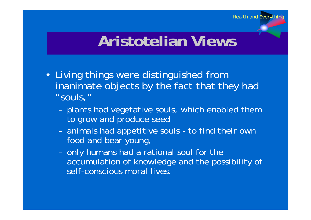#### **Aristotelian Views**

- Living things were distinguished from inanimate objects by the fact that they had "souls,"
	- plants had vegetative souls, which enabled them to grow and produce seed
	- animals had appetitive souls to find their own food and bear young,
	- only humans had a rational soul for the accumulation of knowledge and the possibility of self-conscious moral lives.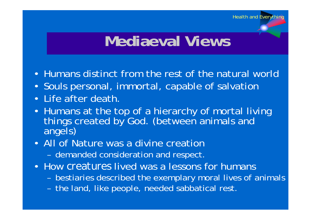## **Mediaeval Views**

- Humans distinct from the rest of the natural world
- Souls personal, immortal, capable of salvation
- Life after death.
- Humans at the top of a hierarchy of mortal living things created by God. (between animals and angels)
- All of Nature was a divine creation
	- demanded consideration and respect.
- How *creatures* lived was a lessons for humans
	- bestiaries described the exemplary moral lives of animals
	- the land, like people, needed sabbatical rest.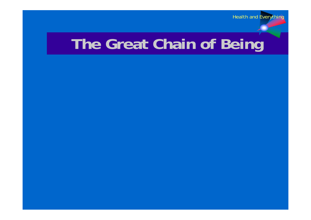## **The Great Chain of Being**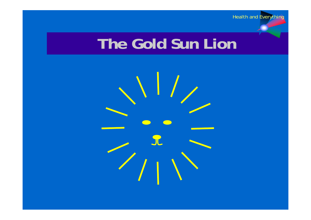## **The Gold Sun Lion**

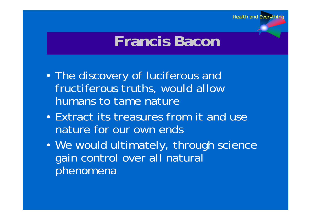## **Francis Bacon**

- The discovery of luciferous and fructiferous truths, would allow humans to tame nature
- Extract its treasures from it and use nature for our own ends
- We would ultimately, through science gain control over all natural phenomena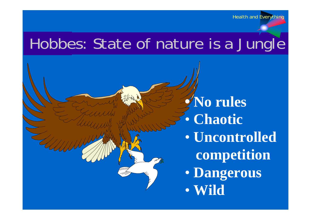#### Hobbes: State of nature is a Jungle

**• No rules**   $\bullet$  **Chaotic**  $\bullet$  **Uncontrolled competition**  $\bullet$  **Dangerous**  $\bullet$ **Wild**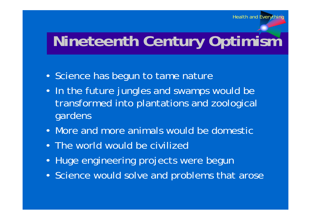# **Nineteenth Century Optimism**

- Science has begun to tame nature
- In the future jungles and swamps would be transformed into plantations and zoological gardens
- More and more animals would be domestic
- The world would be civilized
- Huge engineering projects were begun
- Science would solve and problems that arose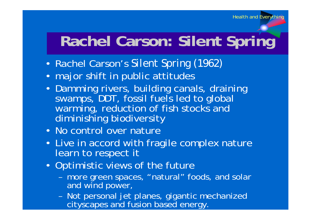### **Rachel Carson: Silent Spring**

- Rachel Carson's *Silent Spring (1962)*
- major shift in public attitudes
- Damming rivers, building canals, draining swamps, DDT, fossil fuels led to global warming, reduction of fish stocks and diminishing biodiversity
- No control over nature
- Live in accord with fragile complex nature learn to respect it
- Optimistic views of the future
	- more green spaces, "natural" foods, and solar and wind power,
	- Not personal jet planes, gigantic mechanized cityscapes and fusion based energy.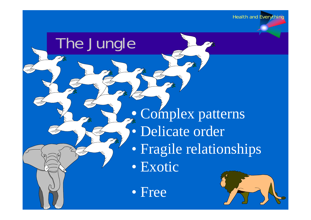## The Jungle

**•** Complex patterns  $\bullet$  Delicate order  $\bullet$  Fragile relationships  $\bullet$ Exotic

• Free

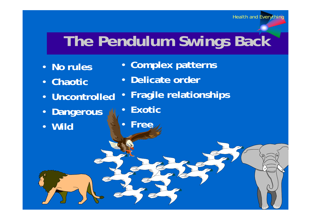# **The Pendulum Swings Back**

- **No rules**
- **Chaotic**
- **Uncontrolled**
- **Dangerous**
- **Wild**
- **Complex patterns**
- **Delicate order**
- **Fragile relationships**
- **Exotic**
- **Free**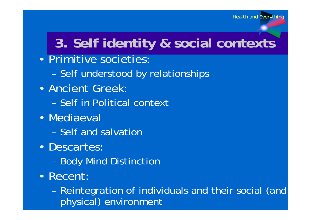#### **3. Self identity & social contexts**

#### • Primitive societies:

– Self understood by relationships

#### • Ancient Greek:

- Self in Political context
- Mediaeval
	- Self and salvation
- Descartes:
	- Body Mind Distinction
- Recent:

– Reintegration of individuals and their social (and physical) environment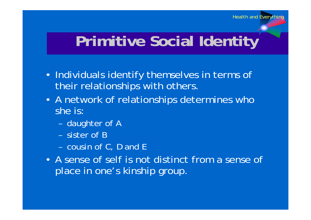### **Primitive Social Identity**

- Individuals identify themselves in terms of their relationships with others.
- A network of relationships determines who she is:
	- daughter of A
	- sister of B
	- cousin of C, D and E
- A sense of self is not distinct from a sense of place in one's kinship group.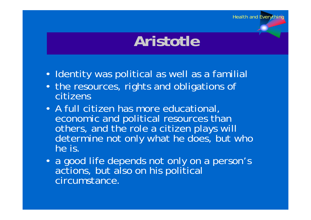## **Aristotle**

- Identity was political as well as a familial
- the resources, rights and obligations of citizens
- A full citizen has more educational, economic and political resources than others, and the role a citizen plays will determine not only what he does, but who he is.
- a good life depends not only on a person's actions, but also on his political circumstance.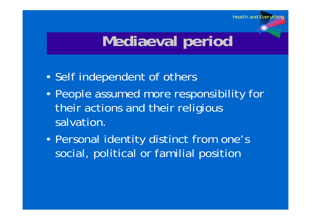# **Mediaeval period**

- Self independent of others
- People assumed more responsibility for their actions and their religious salvation.
- Personal identity distinct from one's social, political or familial position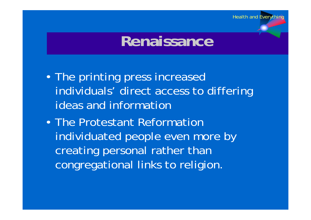#### **Renaissance**

- The printing press increased individuals' direct access to differing ideas and information
- The Protestant Reformation individuated people even more by creating personal rather than congregational links to religion.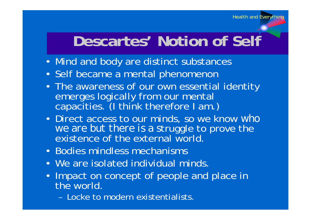## **Descartes' Notion of Self**

- Mind and body are distinct substances
- Self became a mental phenomenon
- The awareness of our own essential identity<br>emerges logically from our mental capacities. (I think therefore I am.)
- Direct access to our minds, so we know *who we are but there is a s*truggle to prove the existence of the external world.
- Bodies mindless mechanisms
- We are isolated individual minds.
- Impact on concept of people and place in the world.
	- Locke to modern existentialists.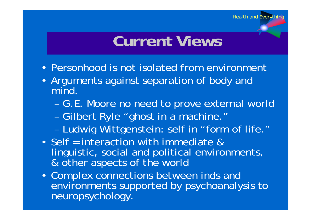## **Current Views**

- Personhood is not isolated from environment
- Arguments against separation of body and mind.
	- G.E. Moore no need to prove external world
	- Gilbert Ryle "ghost in a machine."
	- Ludwig Wittgenstein: self in "form of life."
- Self = interaction with immediate & linguistic, social and political environments, & other aspects of the world
- Complex connections between inds and environments supported by psychoanalysis to neuropsychology.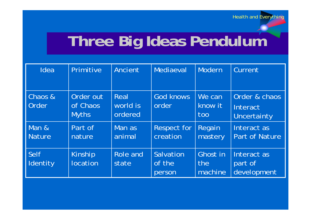# **Three Big Ideas Pendulum**

| Idea                   | Primitive                             | Ancient                     | Mediaeval                      | Modern                     | Current                                  |
|------------------------|---------------------------------------|-----------------------------|--------------------------------|----------------------------|------------------------------------------|
| Chaos &<br>Order       | Order out<br>of Chaos<br><b>Myths</b> | Real<br>world is<br>ordered | God knows<br>order             | We can<br>know it<br>too   | Order & chaos<br>Interact<br>Uncertainty |
| Man &<br><b>Nature</b> | Part of<br>nature                     | Man as<br>animal            | <b>Respect for</b><br>creation | Regain<br>mastery          | Interact as<br><b>Part of Nature</b>     |
| Self<br>Identity       | Kinship<br>location                   | Role and<br>state           | Salvation<br>of the<br>person  | Ghost in<br>the<br>machine | Interact as<br>part of<br>development    |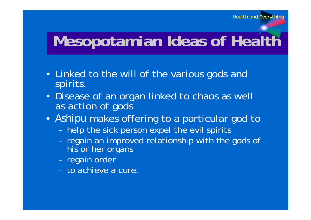# **Mesopotamian Ideas of Health**

- Linked to the will of the various gods and spirits.
- Disease of an organ linked to chaos as well as action of gods
- *Ashipu* makes offering to a particular god to
	- help the sick person expel the evil spirits
	- regain an improved relationship with the gods of his or her organs
	- regain order
	- to achieve a cure.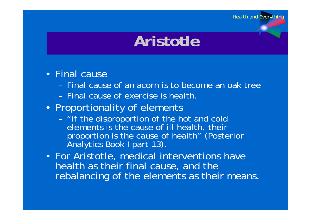## **Aristotle**

#### • Final cause

- Final cause of an acorn is to become an oak tree
- Final cause of exercise is health.
- Proportionality of elements
	- "if the disproportion of the hot and cold elements is the cause of ill health, their proportion is the cause of health" (Posterior Analytics Book I part 13).
- For Aristotle, medical interventions have health as their final cause, and the rebalancing of the elements as their means.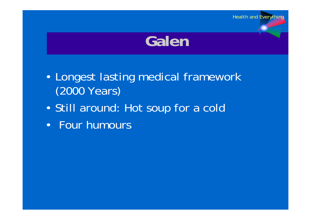

- Longest lasting medical framework (2000 Years)
- Still around: Hot soup for a cold
- Four humours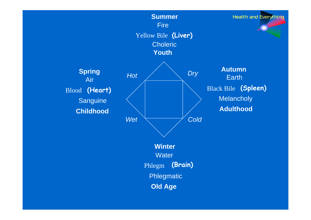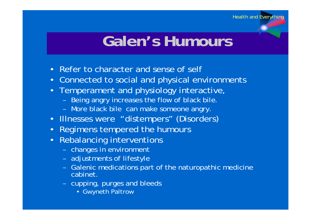### **Galen's Humours**

- Refer to character and sense of self
- Connected to social and physical environments
- Temperament and physiology interactive,
	- Being angry increases the flow of black bile.
	- More black bile can make someone angry.
- Illnesses were "distempers" (Disorders)
- Regimens tempered the humours
- Rebalancing interventions
	- changes in environment
	- adjustments of lifestyle
	- Galenic medications part of the naturopathic medicine cabinet.
	- cupping, purges and bleeds
		- Gwyneth Paltrow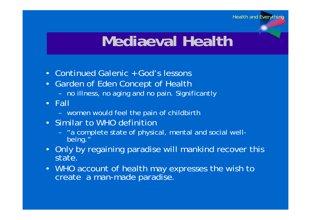## **Mediaeval Health**

- Continued Galenic + God's lessons
- Garden of Eden Concept of Health
	- no illness, no aging and no pain. Significantly
- Fall
	- women would feel the pain of childbirth
- Similar to WHO definition
	- "a complete state of physical, mental and social wellbeing."
- Only by regaining paradise will mankind recover this state.
- WHO account of health may expresses the wish to create a man-made paradise.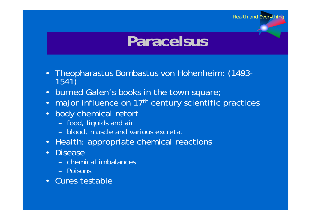## **Paracelsus**

Health and Everything

- Theopharastus Bombastus von Hohenheim: (1493- 1541)
- burned Galen's books in the town square;
- major influence on 17<sup>th</sup> century scientific practices
- body chemical retort
	- food, liquids and air
	- blood, muscle and various excreta.
- Health: appropriate chemical reactions
- Disease
	- chemical imbalances
	- Poisons
- Cures testable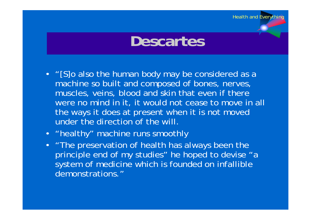**Descartes**

Health and Everything

- "[S]o also the human body may be considered as a machine so built and composed of bones, nerves, muscles, veins, blood and skin that even if there were no mind in it, it would not cease to move in all the ways it does at present when it is not moved under the direction of the will.
- "healthy" machine runs smoothly
- "The preservation of health has always been the principle end of my studies" he hoped to devise "a system of medicine which is founded on infallible demonstrations."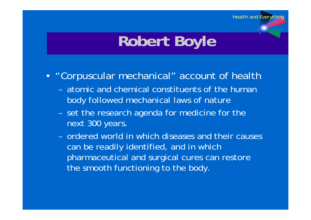# **Robert Boyle**

- "Corpuscular mechanical" account of health
	- atomic and chemical constituents of the human body followed mechanical laws of nature
	- set the research agenda for medicine for the next 300 years.
	- ordered world in which diseases and their causes can be readily identified, and in which pharmaceutical and surgical cures can restore the smooth functioning to the body.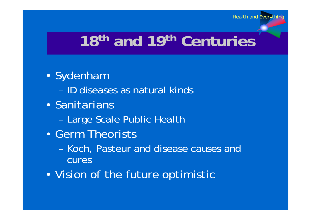# **18th and 19th Centuries**

- Sydenham
	- ID diseases as natural kinds
- Sanitarians
	- Large Scale Public Health
- Germ Theorists
	- Koch, Pasteur and disease causes and cures
- Vision of the future optimistic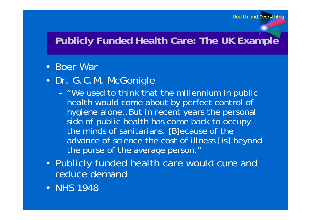#### **Publicly Funded Health Care: The UK Example**

#### • Boer War

- Dr. G.C.M. McGonigle
	- "We used to think that the millennium in public health would come about by perfect control of hygiene alone…But in recent years the personal side of public health has come back to occupy the minds of sanitarians. [B]ecause of the advance of science the cost of illness [is] beyond the purse of the average person."
- Publicly funded health care would cure and reduce demand
- NHS 1948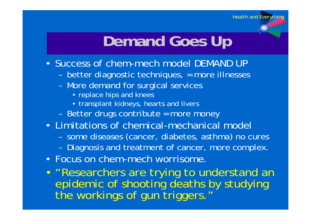# **Demand Goes Up**

- Success of chem-mech model DEMAND UP
	- better diagnostic techniques, = more illnesses
	- More demand for surgical services
		- replace hips and knees
		- transplant kidneys, hearts and livers
	- Better drugs contribute = more money
- Limitations of chemical-mechanical model
	- some diseases (cancer, diabetes, asthma) no cures
	- Diagnosis and treatment of cancer, more complex.
- Focus on chem-mech worrisome.

• "Researchers are trying to understand an epidemic of shooting deaths by studying the workings of gun triggers.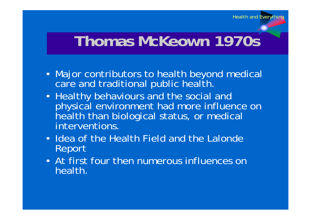### **Thomas McKeown 1970s**

- Major contributors to health beyond medical care and traditional public health.
- Healthy behaviours and the social and physical environment had more influence on health than biological status, or medical interventions.
- Idea of the Health Field and the Lalonde Report
- At first four then numerous influences on health.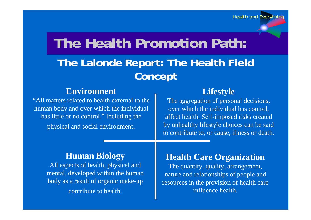#### **The Health Promotion Path:**

#### **The Lalonde Report: The Health Field Concept**

#### **Environment**

"All matters related to health external to the human body and over which the individual has little or no control." Including the physical and social environment.

#### **Lifestyle**

The aggregation of personal decisions, over which the individual has control, affect health. Self-imposed risks created by unhealthy lifestyle choices can be said to contribute to, or cause, illness or death.

#### **Human Biology**

All aspects of health, physical and mental, developed within the human body as a result of organic make-up contribute to health.

#### **Health Care Organization**

The quantity, quality, arrangement, nature and relationships of people and resources in the provision of health care influence health.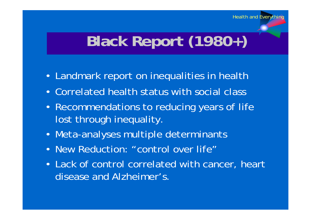# **Black Report (1980+)**

- Landmark report on inequalities in health
- Correlated health status with social class
- Recommendations to reducing years of life lost through inequality.
- Meta-analyses multiple determinants
- New Reduction: "control over life"
- Lack of control correlated with cancer, heart disease and Alzheimer's.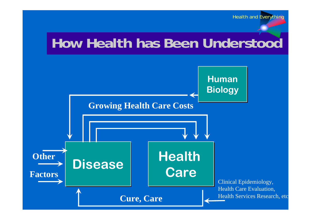#### **How Health has Been Understood**

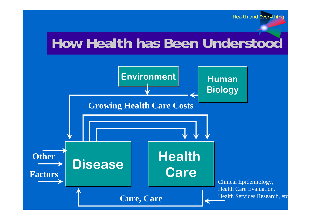#### **How Health has Been Understood**

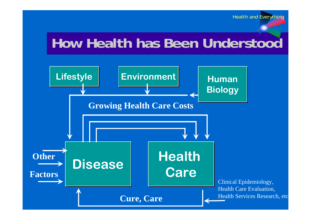#### **How Health has Been Understood**

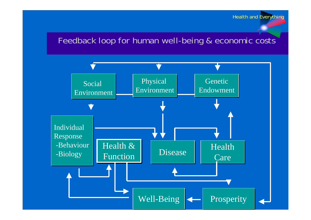#### Feedback loop for human well-being & economic costs

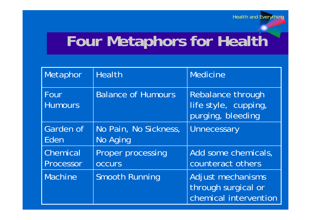# **Four Metaphors for Health**

| Metaphor               | <b>Health</b>                      | <b>Medicine</b>                                                   |
|------------------------|------------------------------------|-------------------------------------------------------------------|
| Four<br><b>Humours</b> | <b>Balance of Humours</b>          | Rebalance through<br>life style, cupping,<br>purging, bleeding    |
| Garden of<br>Eden      | No Pain, No Sickness,<br>No Aging  | Unnecessary                                                       |
| Chemical<br>Processor  | Proper processing<br><b>OCCULS</b> | Add some chemicals,<br>counteract others                          |
| <b>Machine</b>         | <b>Smooth Running</b>              | Adjust mechanisms<br>through surgical or<br>chemical intervention |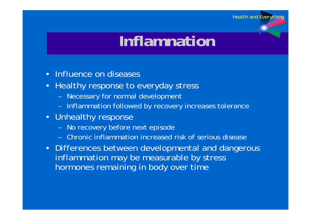## **Inflamnation**

- Influence on diseases
- Healthy response to everyday stress
	- Necessary for normal development
	- Inflammation followed by recovery increases tolerance
- Unhealthy response
	- No recovery before next episode
	- Chronic inflammation increased risk of serious disease
- Differences between developmental and dangerous inflammation may be measurable by stress hormones remaining in body over time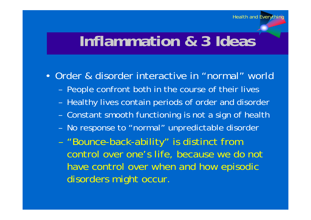#### **Inflammation & 3 Ideas**

• Order & disorder interactive in "normal" world

- People confront both in the course of their lives
- Healthy lives contain periods of order and disorder
- Constant smooth functioning is not a sign of health
- No response to "normal" unpredictable disorder
- "Bounce-back-ability" is distinct from control over one's life, because we do not have control over when and how episodic disorders might occur.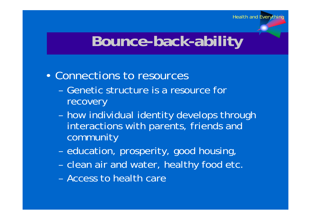#### **Bounce-back-ability**

#### • Connections to resources

- Genetic structure is a resource for recovery
- how individual identity develops through interactions with parents, friends and community
- education, prosperity, good housing,
- clean air and water, healthy food etc.
- Access to health care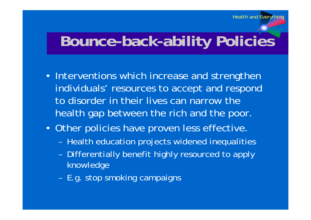### **Bounce-back-ability Policies**

- Interventions which increase and strengthen individuals' resources to accept and respond to disorder in their lives can narrow the health gap between the rich and the poor.
- Other policies have proven less effective.
	- Health education projects widened inequalities
	- Differentially benefit highly resourced to apply knowledge
	- E.g. stop smoking campaigns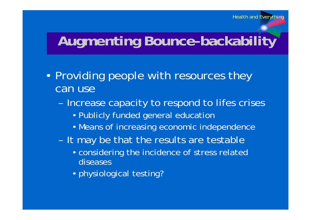#### **Augmenting Bounce-backability**

- Providing people with resources they can use
	- Increase capacity to respond to lifes crises
		- Publicly funded general education
		- Means of increasing economic independence
	- It may be that the results are testable
		- considering the incidence of stress related diseases
		- physiological testing?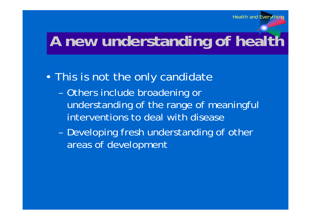# **A new understanding of health**

#### • This is not the only candidate

- Others include broadening or understanding of the range of meaningful interventions to deal with disease
- Developing fresh understanding of other areas of development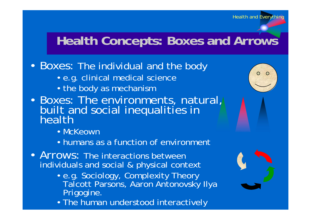#### **Health Concepts: Boxes and Arrows**

#### • Boxes: The individual and the body

- e.g. clinical medical science
- the body as mechanism
- Boxes: The environments, natural, built and social inequalities in<br>health
	- McKeown
	- humans as a function of environment
- Arrows: The interactions between individuals and social & physical context
	- e.g. Sociology, Complexity Theory Talcott Parsons, Aaron Antonovsky Ilya Prigogine.
	- The human understood interactively

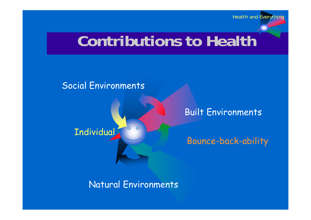#### **Contributions to Health**

#### Social Environments

 $\overline{O}$  $\overline{O}$ **Individual** 

#### Built Environments

Bounce-back-ability

Natural Environments